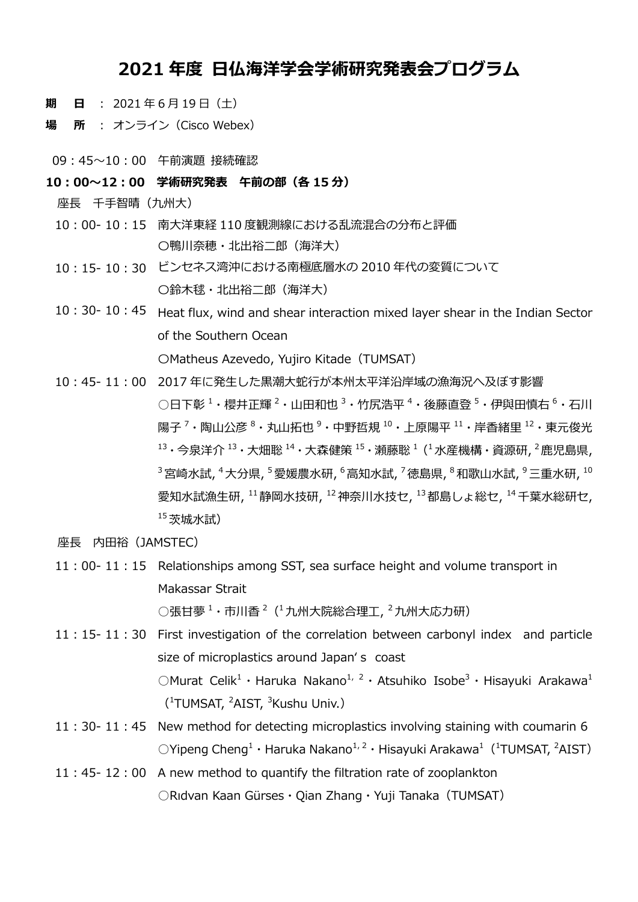## **2021 年度 日仏海洋学会学術研究発表会プログラム**

- **期 日** : 2021 年 6 月 19 日(土)
- **場 所** : オンライン(Cisco Webex)
- 09:45~10:00 午前演題 接続確認
- **10:00~12:00 学術研究発表 午前の部(各 15 分)**
	- 座長 千手智晴(九州大)
	- 10:00- 10:15 南大洋東経 110 度観測線における乱流混合の分布と評価 〇鴨川奈穂・北出裕二郎(海洋大)
	- 10:15- 10:30 ビンセネス湾沖における南極底層水の 2010 年代の変質について 〇鈴木毬・北出裕二郎(海洋大)
	- 10:30- 10:45 Heat flux, wind and shear interaction mixed layer shear in the Indian Sector of the Southern Ocean 〇Matheus Azevedo, Yujiro Kitade(TUMSAT)
	- 10:45- 11:00 2017 年に発生した黒潮大蛇行が本州太平洋沿岸域の漁海況へ及ぼす影響 ○日下彰 <sup>1</sup>・櫻井正輝 <sup>2</sup>・山田和也 <sup>3</sup>・竹尻浩平 <sup>4</sup>・後藤直登 <sup>5</sup>・伊與田慎右 <sup>6</sup>・石川 陽子 <sup>7</sup>・陶山公彦 <sup>8</sup>・丸山拓也 <sup>9</sup>・中野哲規 <sup>10</sup>・上原陽平 <sup>11</sup>・岸香緒里 <sup>12</sup>・東元俊光  $^{13}$ ・今泉洋介  $^{13}$ ・大畑聡  $^{14}$ ・大森健策  $^{15}$ ・瀬藤聡  $^{1}$  ( $^{1}$ 水産機構・資源研,  $^{2}$ 鹿児島県,  $^3$ 宮崎水試,  $^4$ 大分県,  $^5$ 愛媛農水研,  $^6$ 高知水試,  $^7$ 徳島県,  $^8$ 和歌山水試,  $^9$ 三重水研,  $^{10}$ 愛知水試漁生研, <sup>11</sup>静岡水技研, <sup>12</sup>神奈川水技セ, <sup>13</sup>都島しょ総セ, <sup>14</sup>千葉水総研セ,  $15$ 茨城水試)
	- 座長 内田裕(JAMSTEC)
	- 11:00- 11:15 Relationships among SST, sea surface height and volume transport in Makassar Strait ○張甘夢 <sup>1</sup>・市川香 <sup>2</sup>( 1九州大院総合理工, <sup>2</sup>九州大応力研)
	- 11:15- 11:30 First investigation of the correlation between carbonyl index and particle size of microplastics around Japan's coast OMurat Celik<sup>1</sup> · Haruka Nakano<sup>1, 2</sup> · Atsuhiko Isobe<sup>3</sup> · Hisayuki Arakawa<sup>1</sup> (<sup>1</sup>TUMSAT, <sup>2</sup>AIST, <sup>3</sup>Kushu Univ.)
	- 11:30- 11:45 New method for detecting microplastics involving staining with coumarin 6  $\mathrm{O}$ Yipeng Cheng<sup>1</sup> · Haruka Nakano<sup>1, 2</sup> · Hisayuki Arakawa<sup>1</sup> (<sup>1</sup>TUMSAT, <sup>2</sup>AIST)
	- 11:45- 12:00 A new method to quantify the filtration rate of zooplankton ○Rıdvan Kaan Gürses・Qian Zhang・Yuji Tanaka(TUMSAT)